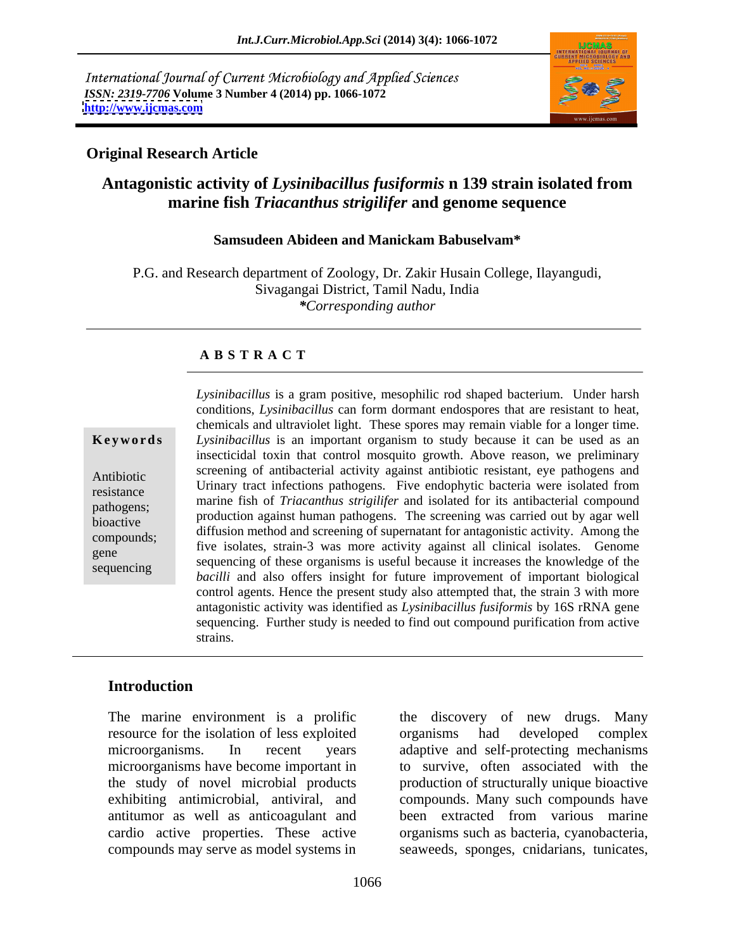International Journal of Current Microbiology and Applied Sciences *ISSN: 2319-7706* **Volume 3 Number 4 (2014) pp. 1066-1072 <http://www.ijcmas.com>**



#### **Original Research Article**

## **Antagonistic activity of** *Lysinibacillus fusiformis* **n 139 strain isolated from marine fish** *Triacanthus strigilifer* **and genome sequence**

#### **Samsudeen Abideen and Manickam Babuselvam\***

P.G. and Research department of Zoology, Dr. Zakir Husain College, Ilayangudi, Sivagangai District, Tamil Nadu, India *\*Corresponding author*

#### **A B S T R A C T**

**Ke ywo rds** *Lysinibacillus* is an important organism to study because it can be used as an Antibiotic Screening of antibacterial activity against antibiotic resistant, eye pathogens and<br>
Letteria were isolated from resistance command that interviews pathogens. The endophytic bacteria were isolated from pathogens; marine fish of *Triacanthus strigilifer* and isolated for its antibacterial compound bioactive production against numan pathogens. The screening was carried out by agai wend<br>compounds: diffusion method and screening of supernatant for antagonistic activity. Among the compounds; five isolates, strain-3 was more activity against all clinical isolates. Genome gene the isolates, strain-3 was more activity against an emilical isolates. Genome sequencing sequencing of these organisms is useful because it increases the knowledge of the *Lysinibacillus* is a gram positive, mesophilic rod shaped bacterium. Under harsh conditions, *Lysinibacillus* can form dormant endospores that are resistant to heat, chemicals and ultraviolet light. These spores may remain viable for a longer time. insecticidal toxin that control mosquito growth. Above reason, we preliminary screening of antibacterial activity against antibiotic resistant, eye pathogens and production against human pathogens. The screening was carried out by agar well *bacilli* and also offers insight for future improvement of important biological control agents. Hence the present study also attempted that, the strain 3 with more antagonistic activity was identified as *Lysinibacillus fusiformis* by 16S rRNA gene sequencing. Further study is needed to find out compound purification from active strains.

#### **Introduction**

The marine environment is a prolific resource for the isolation of less exploited microorganisms. In recent years adaptive and self-protecting mechanisms microorganisms have become important in to survive, often associated with the the study of novel microbial products production of structurally unique bioactive exhibiting antimicrobial, antiviral, and compounds. Many such compounds have antitumor as well as anticoagulant and been extracted from various marine cardio active properties. These active organisms such as bacteria, cyanobacteria,

compounds may serve as model systems in seaweeds, sponges, cnidarians, tunicates, the discovery of new drugs. Many organisms had developed complex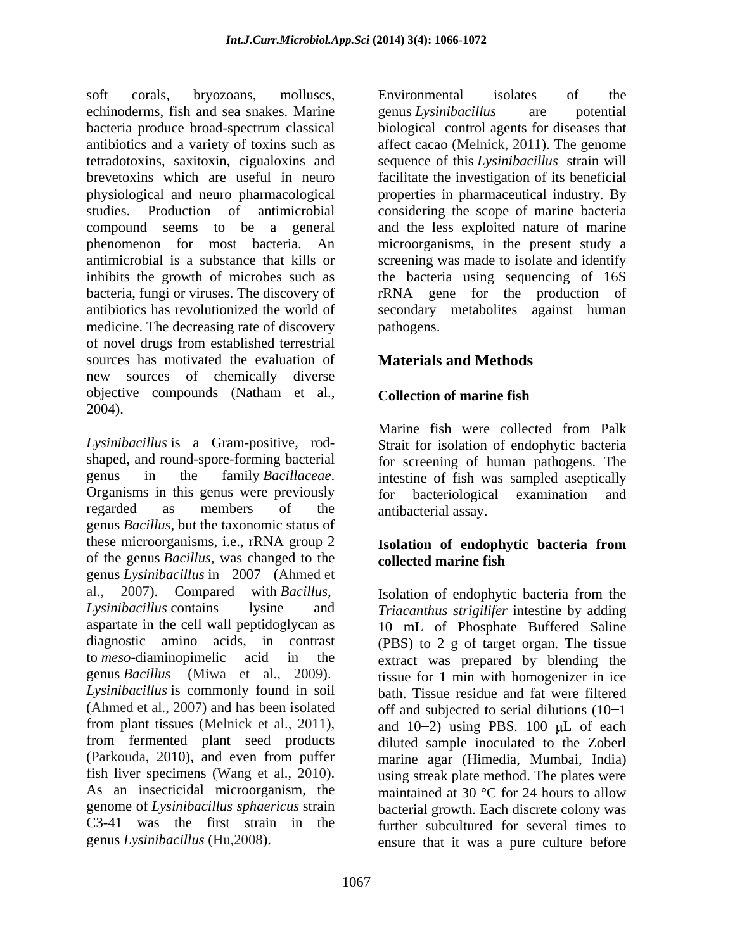soft corals, bryozoans, molluscs, Environmental isolates of the echinoderms, fish and sea snakes. Marine genus Lysinibacillus are potential bacteria produce broad-spectrum classical biological control agents for diseases that antibiotics and a variety of toxins such as affect cacao (Melnick, 2011). The genome tetradotoxins, saxitoxin, cigualoxins and sequence of this *Lysinibacillus* strain will brevetoxins which are useful in neuro facilitate the investigation of its beneficial physiological and neuro pharmacological properties in pharmaceutical industry. By studies. Production of antimicrobial considering the scope of marine bacteria compound seems to be a general and the less exploited nature of marine phenomenon for most bacteria. An microorganisms, in the present study a antimicrobial is a substance that kills or screening was made to isolate and identify inhibits the growth of microbes such as the bacteria using sequencing of 16S bacteria, fungi or viruses. The discovery of rRNA gene for the production of antibiotics has revolutionized the world of secondary metabolites against human medicine. The decreasing rate of discovery pathogens. of novel drugs from established terrestrial sources has motivated the evaluation of **Materials and Methods** new sources of chemically diverse objective compounds (Natham et al., Collection of marine fish 2004).

*Lysinibacillus* is a Gram-positive, rod- Strait for isolation of endophytic bacteria shaped, and round-spore-forming bacterial for screening of human pathogens. The genus in the family *Bacillaceae*. intestine of fish was sampled aseptically<br>Organisms in this genus were previously for bacteriological examination and regarded as members of the antibacterial assay. genus *Bacillus*, but the taxonomic status of these microorganisms, i.e., rRNA group 2 **Isolation of endophytic bacteria from** of the genus *Bacillus*, was changed to the genus *Lysinibacillus* in 2007 (Ahmed et al., 2007). Compared with *Bacillus*, Isolation of endophytic bacteria from the *Lysinibacillus* contains lysine and *Triacanthus strigilifer* intestine by adding aspartate in the cell wall peptidoglycan as 10 mL of Phosphate Buffered Saline diagnostic amino acids, in contrast (PBS) to 2 g of target organ. The tissue to *meso*-diaminopimelic acid in the extract was prepared by blending the genus *Bacillus* (Miwa et al., 2009). tissue for 1 min with homogenizer in ice *Lysinibacillus* is commonly found in soil bath. Tissue residue and fat were filtered (Ahmed et al., 2007) and has been isolated from plant tissues (Melnick et al., 2011), and  $10-2$  using PBS. 100  $\mu$ L of each from fermented plant seed products diluted sample inoculated to the Zoberl (Parkouda, 2010), and even from puffer marine agar (Himedia, Mumbai, India) fish liver specimens (Wang et al., 2010). using streak plate method. The plates were As an insecticidal microorganism, the maintained at 30 °C for 24 hours to allow genome of *Lysinibacillus sphaericus* strain bacterial growth. Each discrete colony was C3-41 was the first strain in the further subcultured for several times to

Environmental isolates of the genus *Lysinibacillus* are potential pathogens.

## **Materials and Methods**

### **Collection of marine fish**

Marine fish were collected from Palk intestine of fish was sampled aseptically for bacteriological examination and antibacterial assay.

#### **Isolation of endophytic bacteria from collected marine fish**

genus *Lysinibacillus* (Hu,2008). ensure that it was a pure culture beforeoff and subjected to serial dilutions  $(10-1)$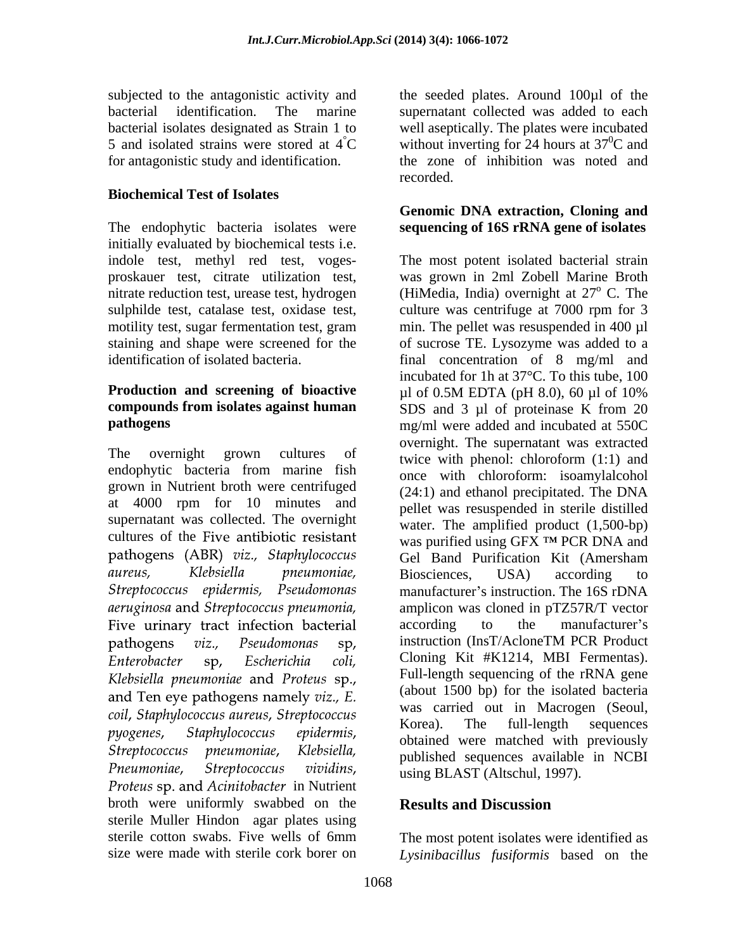for antagonistic study and identification.

#### **Biochemical Test of Isolates**

The endophytic bacteria isolates were **sequencing of 16S rRNA gene of isolates**  initially evaluated by biochemical tests i.e.

# **Production and screening of bioactive**  $\mu$ l of 0.5M EDTA (pH 8.0), 60  $\mu$ l of 10%

endophytic bacteria from marine fish grown in Nutrient broth were centrifuged at 4000 rpm for 10 minutes and supernatant was collected. The overnight cultures of the pathogens (ABR) viz., Staphylococcus aureus, Klebsiella pneumoniae, Streptococcus epidermis, Pseudomonas aeruginosa and Streptococcus pneumonia, Five urinary tract infection bacterial pathogens  $viz.$ Pseudomonas sp, Enterobacter Escherichia coli. sp, Klebsiella pneumoniae and Proteus sp., and Ten eye pathogens namely viz., E. coil, Staphylococcus aureus, Streptococcus Staphylococcus pyogenes, epidermis, Streptococcus pneumoniae, Klebsiella. Streptococcus Pneumoniae, vividins. in Nutrient broth were uniformly swabbed on the **Results and Discussion** sterile Muller Hindon agar plates using sterile cotton swabs. Five wells of 6mm The most potent isolates were identified as

subjected to the antagonistic activity and the seeded plates. Around 100µl of the bacterial identification. The marine supernatant collected was added to each bacterial isolates designated as Strain 1 to well aseptically. The plates were incubated 5 and isolated strains were stored at  $\angle$  4<sup>°</sup>C without inverting for 24 hours at 37<sup>°</sup>C and  ${}^{0}C$  and the zone of inhibition was noted and recorded.

## **Genomic DNA extraction, Cloning and**

indole test, methyl red test, voges- The most potent isolated bacterial strain proskauer test, citrate utilization test, was grown in 2ml Zobell Marine Broth nitrate reduction test, urease test, hydrogen (HiMedia, India) overnight at  $27^{\circ}$  C. The sulphilde test, catalase test, oxidase test, culture was centrifuge at 7000 rpm for 3 motility test, sugar fermentation test, gram min. The pellet was resuspended in 400 µl staining and shape were screened for the of sucrose TE. Lysozyme was added to a identification of isolated bacteria. final concentration of 8 mg/ml and **compounds from isolates against human** SDS and 3 µl of proteinase K from 20 **pathogens** mg/ml were added and incubated at 550C The overnight grown cultures of twice with phenol: chloroform (1:1) and <sup>o</sup> C. The incubated for 1h at 37°C. To this tube, 100 µl of 0.5M EDTA (pH 8.0), 60 µl of 10% overnight. The supernatant was extracted once with chloroform: isoamylalcohol (24:1) and ethanol precipitated. The DNA pellet was resuspended in sterile distilled water. The amplified product  $(1,500$ -bp) Was purified using GFX <sup>TM</sup> PCR DNA and Gel Band Purification Kit (Amersham Biosciences, USA) according to manufacturer's instruction. The 16S rDNA amplicon was cloned in pTZ57R/T vector according to the manufacturer's instruction (InsT/AcloneTM PCR Product Cloning Kit #K1214, MBI Fermentas). Full-length sequencing of the rRNA gene (about 1500 bp) for the isolated bacteria was carried out in Macrogen (Seoul, Korea). The full-length sequences obtained were matched with previously published sequences available in NCBI using BLAST (Altschul, 1997).

#### **Results and Discussion**

size were made with sterile cork borer on *Lysinibacillus fusiformis* based on the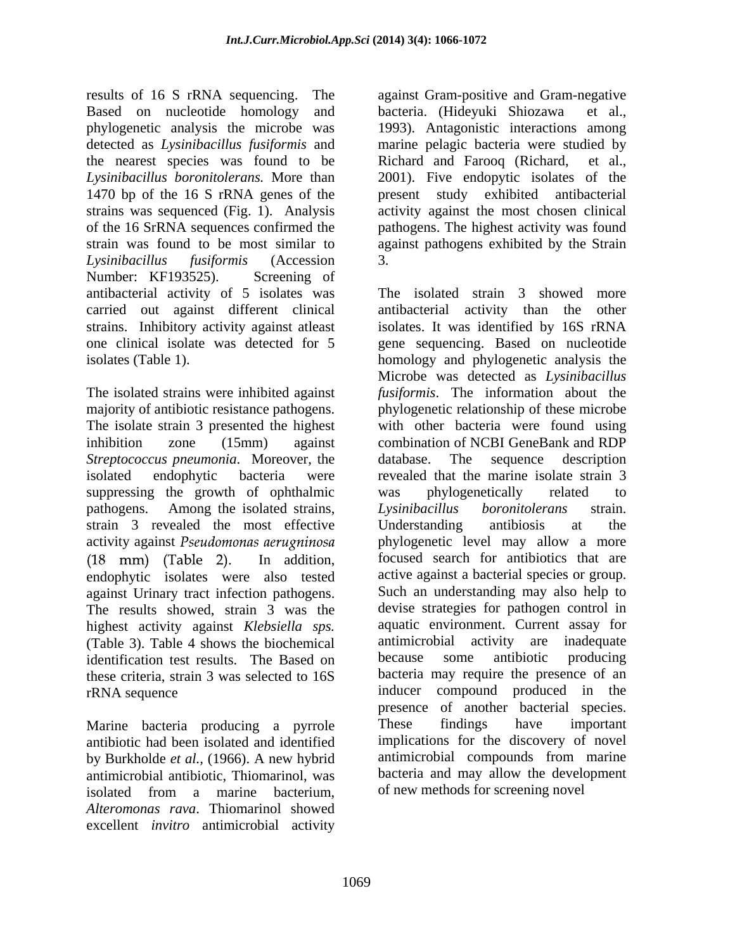results of 16 S rRNA sequencing. The against Gram-positive and Gram-negative Based on nucleotide homology and bacteria. (Hideyuki Shiozawa et al., phylogenetic analysis the microbe was 1993). Antagonistic interactions among detected as *Lysinibacillus fusiformis* and marine pelagic bacteria were studied by the nearest species was found to be Richard and Farooq (Richard, et al., *Lysinibacillus boronitolerans.* More than 2001). Five endopytic isolates of the 1470 bp of the 16 S rRNA genes of the present study exhibited antibacterial strains was sequenced (Fig. 1). Analysis activity against the most chosen clinical of the 16 SrRNA sequences confirmed the pathogens. The highest activity was found strain was found to be most similar to against pathogens exhibited by the Strain *Lysinibacillus fusiformis* (Accession Number: KF193525). Screening of antibacterial activity of 5 isolates was

The isolate strain 3 presented the highest *Streptococcus pneumonia*. Moreover, the suppressing the growth of ophthalmic was phylogenetically related to pathogens. Among the isolated strains, Lysinibacillus boronitolerans strain. strain 3 revealed the most effective Understanding antibiosis at the against Urinary tract infection pathogens. The results showed, strain 3 was the highest activity against *Klebsiella sps*. aquatic environment. Current assay for (Table 3) Table 4 shows the biochemical antimicrobial activity are inadequate (Table 3). Table 4 shows the biochemical antimicrobial activity are inadequate identification test results. The Based on because some antibiotic producing identification test results. The Based on because these criteria, strain 3 was selected to 16S

antibiotic had been isolated and identified by Burkholde *et al.*, (1966). A new hybrid antimicrobial antibiotic, Thiomarinol, was isolated from a marine bacterium, of new methods for screening novel *Alteromonas rava*. Thiomarinol showed excellent *invitro* antimicrobial activity

bacteria. (Hideyuki Shiozawa Richard and Farooq (Richard, 3.

carried out against different clinical antibacterial activity than the other strains. Inhibitory activity against atleast isolates. It was identified by 16S rRNA one clinical isolate was detected for 5 gene sequencing. Based on nucleotide isolates (Table 1). homology and phylogenetic analysis the The isolated strains were inhibited against *fusiformis*. The information about the majority of antibiotic resistance pathogens. phylogenetic relationship of these microbe inhibition zone (15mm) against combination of NCBI GeneBank and RDP isolated endophytic bacteria were revealed that the marine isolate strain 3 activity against *Pseudomonas aerugninosa* bhylogenetic level may allow a more (18 mm) (Table 2). In addition, focused search for antibiotics that are endophytic isolates were also tested active against a bacterial species or group. rRNA sequence inducer compound produced in the Marine bacteria producing a pyrrole These findings have important The isolated strain 3 showed more Microbe was detected as *Lysinibacillus*  with other bacteria were found using database. The sequence description was phylogenetically related to *Lysinibacillus boronitolerans* strain. Understanding antibiosis at the focused search for antibiotics that are active against a bacterial species or group. Such an understanding may also help to devise strategies for pathogen control in aquatic environment. Current assay for antimicrobial activity are because some antibiotic producing bacteria may require the presence of an presence of another bacterial species. These findings have important implications for the discovery of novel antimicrobial compounds from marine bacteria and may allow the development of new methods for screening novel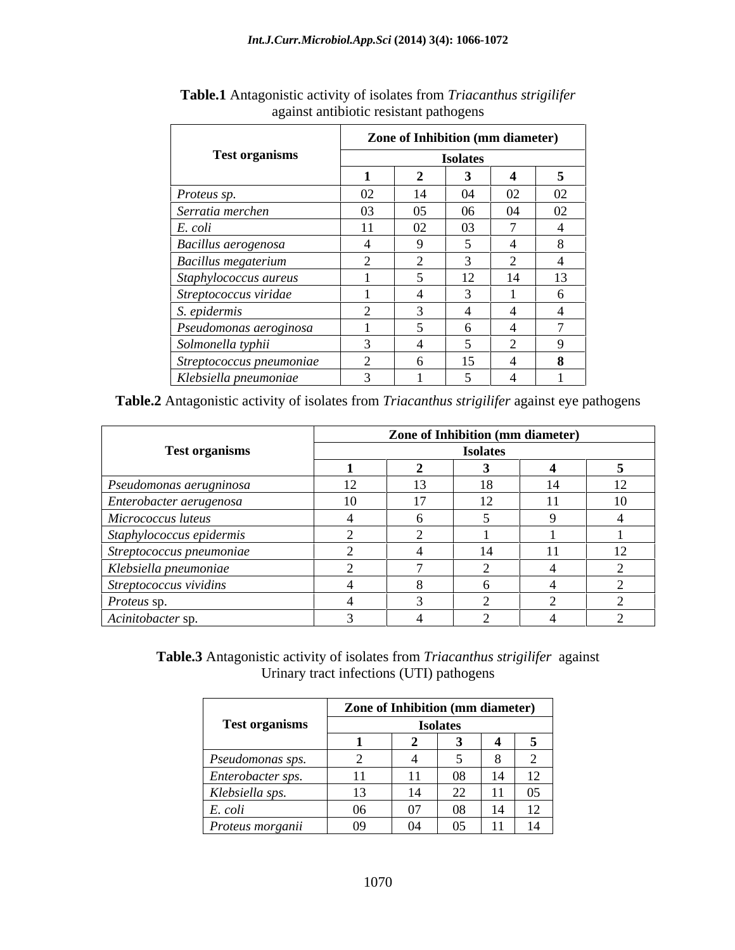|                            | Zone of Inhibition (mm diameter) |                 |                              |                          |    |  |  |
|----------------------------|----------------------------------|-----------------|------------------------------|--------------------------|----|--|--|
| <b>Test organisms</b>      |                                  | <b>Isolates</b> |                              |                          |    |  |  |
|                            |                                  |                 |                              |                          |    |  |  |
| Proteus sp.                | 02                               |                 | 04                           | 02                       | 02 |  |  |
| Serratia merchen           | 03                               | 05              | 06                           | 04                       | 02 |  |  |
| E. coli                    |                                  | 02              | $\Omega$<br>UJ.              | $\overline{\phantom{0}}$ |    |  |  |
| Bacillus aerogenosa        |                                  |                 |                              |                          |    |  |  |
| <b>Bacillus megaterium</b> |                                  |                 |                              |                          |    |  |  |
| Staphylococcus aureus      |                                  |                 | $12^{\circ}$<br>$\mathsf{L}$ | 14                       | 13 |  |  |
| Streptococcus viridae      |                                  |                 |                              |                          |    |  |  |
| S. epidermis               |                                  |                 |                              |                          |    |  |  |
| Pseudomonas aeroginosa     |                                  |                 |                              |                          |    |  |  |
| Solmonella typhii          |                                  |                 |                              |                          |    |  |  |
| Streptococcus pneumoniae   |                                  |                 | 15                           |                          |    |  |  |
| Klebsiella pneumoniae      |                                  |                 |                              |                          |    |  |  |

**Table.1** Antagonistic activity of isolates from *Triacanthus strigilifer* against antibiotic resistant pathogens

**Table.2** Antagonistic activity of isolates from *Triacanthus strigilifer* against eye pathogens

|                          | Zone of Inhibition (mm diameter) |  |    |    |    |  |  |  |  |  |
|--------------------------|----------------------------------|--|----|----|----|--|--|--|--|--|
| <b>Test organisms</b>    | <b>Isolates</b>                  |  |    |    |    |  |  |  |  |  |
|                          |                                  |  |    |    |    |  |  |  |  |  |
| Pseudomonas aerugninosa  |                                  |  | 18 |    | 12 |  |  |  |  |  |
| Enterobacter aerugenosa  |                                  |  | 12 |    | 10 |  |  |  |  |  |
| Micrococcus luteus       |                                  |  |    |    |    |  |  |  |  |  |
| Staphylococcus epidermis |                                  |  |    |    |    |  |  |  |  |  |
| Streptococcus pneumoniae |                                  |  | 14 | 11 | 12 |  |  |  |  |  |
| Klebsiella pneumoniae    |                                  |  |    |    |    |  |  |  |  |  |
| Streptococcus vividins   |                                  |  |    |    |    |  |  |  |  |  |
| Proteus sp.              |                                  |  |    |    |    |  |  |  |  |  |
| Acinitobacter sp.        |                                  |  |    |    |    |  |  |  |  |  |

**Table.3** Antagonistic activity of isolates from *Triacanthus strigilifer* against Urinary tract infections (UTI) pathogens

|                                              | Zone of Inhibition (mm diameter) |         |                 |    |                          |
|----------------------------------------------|----------------------------------|---------|-----------------|----|--------------------------|
| <b>Test organisms</b>                        |                                  |         | <b>Isolates</b> |    |                          |
|                                              |                                  |         |                 |    |                          |
| Pseudomonas sps.                             |                                  |         |                 |    |                          |
| Enterobacter sps.                            |                                  | $\pm 1$ | 08              |    | $\overline{\phantom{0}}$ |
| Klebsiella sps.                              |                                  |         | 22              | 11 | $\Omega$<br>UJ.          |
| $\mathbf{r}$<br>E. coli                      | 06                               | 07      | 08              |    | $\sim$<br>$\sim$         |
| $\overline{\phantom{a}}$<br>Proteus morganii | 09                               | 04      | 05              | 11 | ı 4                      |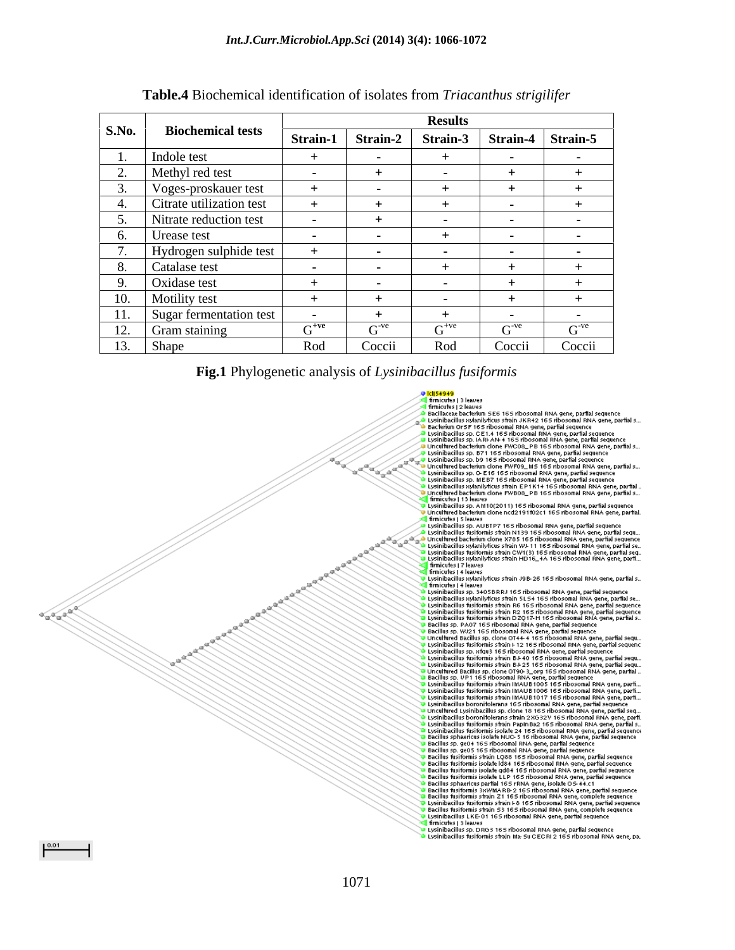|                 |                          |                                   | <b>Results</b> |                                                      |            |            |
|-----------------|--------------------------|-----------------------------------|----------------|------------------------------------------------------|------------|------------|
| <b>S.No.</b>    | <b>Biochemical tests</b> |                                   |                | Strain-1   Strain-2   Strain-3   Strain-4   Strain-5 |            |            |
|                 | Indole test              |                                   |                |                                                      |            |            |
|                 | Methyl red test          |                                   |                |                                                      |            |            |
|                 | Voges-proskauer test     |                                   |                |                                                      |            |            |
|                 | Citrate utilization test |                                   |                |                                                      |            |            |
|                 | Nitrate reduction test   |                                   |                |                                                      |            |            |
|                 | Urease test              |                                   |                |                                                      |            |            |
|                 | Hydrogen sulphide test   |                                   |                |                                                      |            |            |
|                 | Catalase test            | <b>Contract Contract Contract</b> |                |                                                      |            |            |
|                 | Oxidase test             |                                   |                |                                                      |            |            |
| $\overline{10}$ | Motility test            |                                   |                |                                                      |            |            |
|                 | Sugar fermentation test  |                                   |                |                                                      |            |            |
|                 | Gram staining            | $\sim$ +ve                        | $G^{-ve}$      | $G^{+ve}$                                            | $\sim$ -ve | $\sim$ -ve |
|                 | Shape                    | Rod                               | Coccii         | Rod                                                  | Coccii     | Coccii     |

#### **Table.4** Biochemical identification of isolates from *Triacanthus strigilifer*

#### **Fig.1** Phylogenetic analysis of *Lysinibacillus fusiformis*

**Caracter**